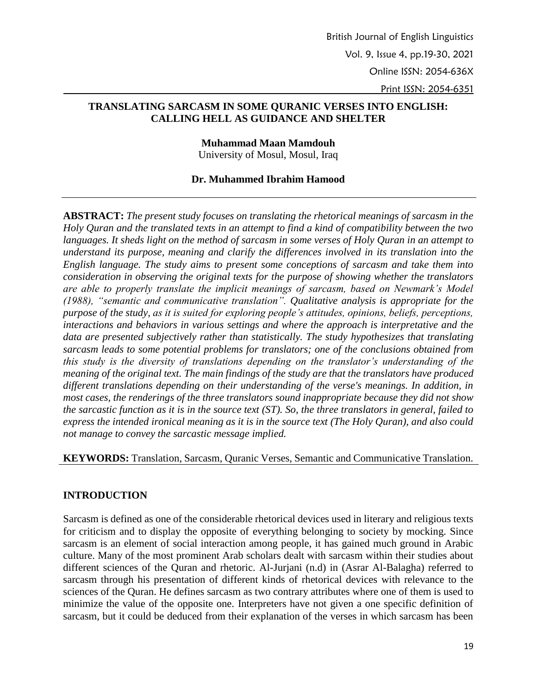# **TRANSLATING SARCASM IN SOME QURANIC VERSES INTO ENGLISH: CALLING HELL AS GUIDANCE AND SHELTER**

**Muhammad Maan Mamdouh**

University of Mosul, Mosul, Iraq

#### **Dr. Muhammed Ibrahim Hamood**

**ABSTRACT:** *The present study focuses on translating the rhetorical meanings of sarcasm in the Holy Quran and the translated texts in an attempt to find a kind of compatibility between the two languages. It sheds light on the method of sarcasm in some verses of Holy Quran in an attempt to understand its purpose, meaning and clarify the differences involved in its translation into the English language. The study aims to present some conceptions of sarcasm and take them into consideration in observing the original texts for the purpose of showing whether the translators are able to properly translate the implicit meanings of sarcasm, based on Newmark's Model (1988), "semantic and communicative translation". Qualitative analysis is appropriate for the purpose of the study, as it is suited for exploring people's attitudes, opinions, beliefs, perceptions, interactions and behaviors in various settings and where the approach is interpretative and the data are presented subjectively rather than statistically. The study hypothesizes that translating sarcasm leads to some potential problems for translators; one of the conclusions obtained from this study is the diversity of translations depending on the translator's understanding of the meaning of the original text. The main findings of the study are that the translators have produced different translations depending on their understanding of the verse's meanings. In addition, in most cases, the renderings of the three translators sound inappropriate because they did not show the sarcastic function as it is in the source text (ST). So, the three translators in general, failed to express the intended ironical meaning as it is in the source text (The Holy Quran), and also could not manage to convey the sarcastic message implied.*

**KEYWORDS:** Translation, Sarcasm, Quranic Verses, Semantic and Communicative Translation.

#### **INTRODUCTION**

Sarcasm is defined as one of the considerable rhetorical devices used in literary and religious texts for criticism and to display the opposite of everything belonging to society by mocking. Since sarcasm is an element of social interaction among people, it has gained much ground in Arabic culture. Many of the most prominent Arab scholars dealt with sarcasm within their studies about different sciences of the Quran and rhetoric. Al-Jurjani (n.d) in (Asrar Al-Balagha) referred to sarcasm through his presentation of different kinds of rhetorical devices with relevance to the sciences of the Quran. He defines sarcasm as two contrary attributes where one of them is used to minimize the value of the opposite one. Interpreters have not given a one specific definition of sarcasm, but it could be deduced from their explanation of the verses in which sarcasm has been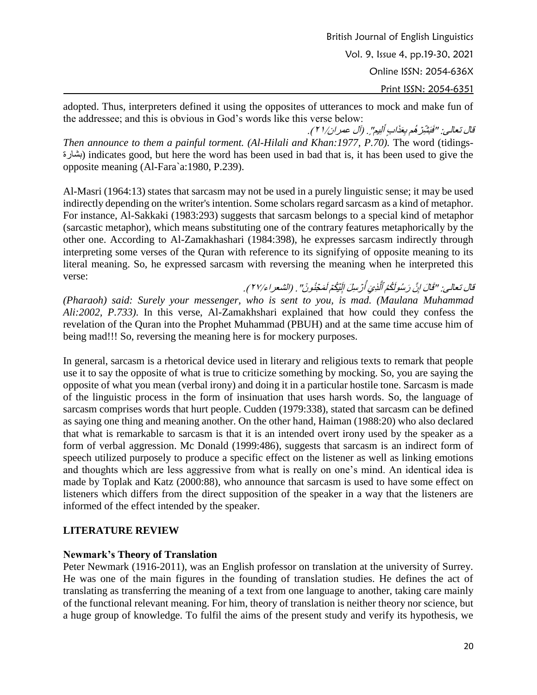adopted. Thus, interpreters defined it using the opposites of utterances to mock and make fun of the addressee; and this is obvious in God's words like this verse below:

قال تعالى: "فَبَشَّرِّ هُم بِعَذَابٍ أَلِيمٍ' َ فَبَشَّرِّهُم بِعَذَابٍ أَلِيمٍ" ٍ. (آل عمران/٢١) . *Then announce to them a painful torment. (Al-Hilali and Khan:1977, P.70).* The word (tidings-بشارة (indicates good, but here the word has been used in bad that is, it has been used to give the opposite meaning (Al-Fara`a:1980, P.239).

Al-Masri (1964:13) states that sarcasm may not be used in a purely linguistic sense; it may be used indirectly depending on the writer's intention. Some scholars regard sarcasm as a kind of metaphor. For instance, Al-Sakkaki (1983:293) suggests that sarcasm belongs to a special kind of metaphor (sarcastic metaphor), which means substituting one of the contrary features metaphorically by the other one. According to Al-Zamakhashari (1984:398), he expresses sarcasm indirectly through interpreting some verses of the Quran with reference to its signifying of opposite meaning to its literal meaning. So, he expressed sarcasm with reversing the meaning when he interpreted this verse:

قال تعالى: "قَالَ إِنَّ رَسُولَكُمُ ٱلَّذِيَ أُرْسِلَ إِلَيْكُمْ لَمَجْنُونٌ إ ِّ اَلَّذِيَ أَ قَالَ إِنَّ رَسُولَكُمُ ٱلَّذِيَ أَرَسِلَ إِلَيْكُمْ لَمَجْنُونَ" . (الشعر ١٢٧/٤) . ِّ *(Pharaoh) said: Surely your messenger, who is sent to you, is mad. (Maulana Muhammad Ali:2002, P.733)*. In this verse, Al-Zamakhshari explained that how could they confess the revelation of the Quran into the Prophet Muhammad (PBUH) and at the same time accuse him of being mad!!! So, reversing the meaning here is for mockery purposes.

In general, sarcasm is a rhetorical device used in literary and religious texts to remark that people use it to say the opposite of what is true to criticize something by mocking. So, you are saying the opposite of what you mean (verbal irony) and doing it in a particular hostile tone. Sarcasm is made of the linguistic process in the form of insinuation that uses harsh words. So, the language of sarcasm comprises words that hurt people. Cudden (1979:338), stated that sarcasm can be defined as saying one thing and meaning another. On the other hand, Haiman (1988:20) who also declared that what is remarkable to sarcasm is that it is an intended overt irony used by the speaker as a form of verbal aggression. Mc Donald (1999:486), suggests that sarcasm is an indirect form of speech utilized purposely to produce a specific effect on the listener as well as linking emotions and thoughts which are less aggressive from what is really on one's mind. An identical idea is made by Toplak and Katz (2000:88), who announce that sarcasm is used to have some effect on listeners which differs from the direct supposition of the speaker in a way that the listeners are informed of the effect intended by the speaker.

# **LITERATURE REVIEW**

# **Newmark's Theory of Translation**

Peter Newmark (1916-2011), was an English professor on translation at the university of Surrey. He was one of the main figures in the founding of translation studies. He defines the act of translating as transferring the meaning of a text from one language to another, taking care mainly of the functional relevant meaning. For him, theory of translation is neither theory nor science, but a huge group of knowledge. To fulfil the aims of the present study and verify its hypothesis, we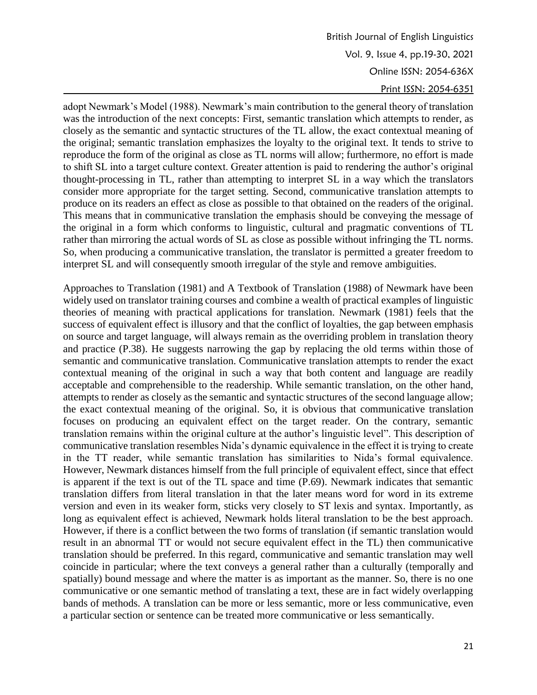adopt Newmark's Model (1988). Newmark's main contribution to the general theory of translation was the introduction of the next concepts: First, semantic translation which attempts to render, as closely as the semantic and syntactic structures of the TL allow, the exact contextual meaning of the original; semantic translation emphasizes the loyalty to the original text. It tends to strive to reproduce the form of the original as close as TL norms will allow; furthermore, no effort is made to shift SL into a target culture context. Greater attention is paid to rendering the author's original thought-processing in TL, rather than attempting to interpret SL in a way which the translators consider more appropriate for the target setting. Second, communicative translation attempts to produce on its readers an effect as close as possible to that obtained on the readers of the original. This means that in communicative translation the emphasis should be conveying the message of the original in a form which conforms to linguistic, cultural and pragmatic conventions of TL rather than mirroring the actual words of SL as close as possible without infringing the TL norms. So, when producing a communicative translation, the translator is permitted a greater freedom to interpret SL and will consequently smooth irregular of the style and remove ambiguities.

Approaches to Translation (1981) and A Textbook of Translation (1988) of Newmark have been widely used on translator training courses and combine a wealth of practical examples of linguistic theories of meaning with practical applications for translation. Newmark (1981) feels that the success of equivalent effect is illusory and that the conflict of loyalties, the gap between emphasis on source and target language, will always remain as the overriding problem in translation theory and practice (P.38). He suggests narrowing the gap by replacing the old terms within those of semantic and communicative translation. Communicative translation attempts to render the exact contextual meaning of the original in such a way that both content and language are readily acceptable and comprehensible to the readership. While semantic translation, on the other hand, attempts to render as closely as the semantic and syntactic structures of the second language allow; the exact contextual meaning of the original. So, it is obvious that communicative translation focuses on producing an equivalent effect on the target reader. On the contrary, semantic translation remains within the original culture at the author's linguistic level". This description of communicative translation resembles Nida's dynamic equivalence in the effect it is trying to create in the TT reader, while semantic translation has similarities to Nida's formal equivalence. However, Newmark distances himself from the full principle of equivalent effect, since that effect is apparent if the text is out of the TL space and time (P.69). Newmark indicates that semantic translation differs from literal translation in that the later means word for word in its extreme version and even in its weaker form, sticks very closely to ST lexis and syntax. Importantly, as long as equivalent effect is achieved, Newmark holds literal translation to be the best approach. However, if there is a conflict between the two forms of translation (if semantic translation would result in an abnormal TT or would not secure equivalent effect in the TL) then communicative translation should be preferred. In this regard, communicative and semantic translation may well coincide in particular; where the text conveys a general rather than a culturally (temporally and spatially) bound message and where the matter is as important as the manner. So, there is no one communicative or one semantic method of translating a text, these are in fact widely overlapping bands of methods. A translation can be more or less semantic, more or less communicative, even a particular section or sentence can be treated more communicative or less semantically.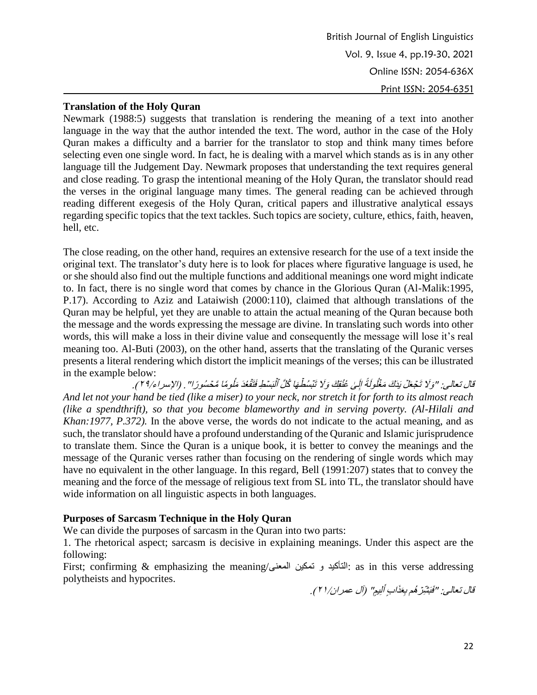#### **Translation of the Holy Quran**

Newmark (1988:5) suggests that translation is rendering the meaning of a text into another language in the way that the author intended the text. The word, author in the case of the Holy Quran makes a difficulty and a barrier for the translator to stop and think many times before selecting even one single word. In fact, he is dealing with a marvel which stands as is in any other language till the Judgement Day. Newmark proposes that understanding the text requires general and close reading. To grasp the intentional meaning of the Holy Quran, the translator should read the verses in the original language many times. The general reading can be achieved through reading different exegesis of the Holy Quran, critical papers and illustrative analytical essays regarding specific topics that the text tackles. Such topics are society, culture, ethics, faith, heaven, hell, etc.

The close reading, on the other hand, requires an extensive research for the use of a text inside the original text. The translator's duty here is to look for places where figurative language is used, he or she should also find out the multiple functions and additional meanings one word might indicate to. In fact, there is no single word that comes by chance in the Glorious Quran (Al-Malik:1995, P.17). According to Aziz and Lataiwish (2000:110), claimed that although translations of the Quran may be helpful, yet they are unable to attain the actual meaning of the Quran because both the message and the words expressing the message are divine. In translating such words into other words, this will make a loss in their divine value and consequently the message will lose it's real meaning too. Al-Buti (2003), on the other hand, asserts that the translating of the Quranic verses presents a literal rendering which distort the implicit meanings of the verses; this can be illustrated in the example below:

قال تعالى: "وَلَا تَجۡعَلۡ بَدَكَ مَغۡلُولَةً إِلَىٰ عُنُقِكَ وَلَا تَبۡسُطۡهَا كُلَّ ٱلۡبَسۡطِ فَتَقۡعُدَ مَلُومًا مَّحۡسُورًا' وَلَا تَجَعَّلَ بَذَكَ مَغْلُولَةً إِلَىٰ عُنُقِكَ وَلَا تَبْسُطُهَا كُلَّ ٱلْبَسْطِ فَتَفَعُدَ مَلُومًا مَّحْسُورًا" . (الإسراء/٢٩). *And let not your hand be tied (like a miser) to your neck, nor stretch it for forth to its almost reach (like a spendthrift), so that you become blameworthy and in serving poverty. (Al-Hilali and Khan:1977, P.372).* In the above verse, the words do not indicate to the actual meaning, and as such, the translator should have a profound understanding of the Quranic and Islamic jurisprudence to translate them. Since the Quran is a unique book, it is better to convey the meanings and the message of the Quranic verses rather than focusing on the rendering of single words which may have no equivalent in the other language. In this regard, Bell (1991:207) states that to convey the meaning and the force of the message of religious text from SL into TL, the translator should have wide information on all linguistic aspects in both languages.

#### **Purposes of Sarcasm Technique in the Holy Quran**

We can divide the purposes of sarcasm in the Quran into two parts:

1. The rhetorical aspect; sarcasm is decisive in explaining meanings. Under this aspect are the following:

First; confirming & emphasizing the meaning/المعنى تمكين و التأكيد: as in this verse addressing polytheists and hypocrites.

قال تعالى: "فَبَشَّرِّ هُم بِعَذَابٍ أَلِيمٍ' َ فَبَشِّرَ هُم بِعَذَابٍ أَلِيمٍ" (آل عمر ان/٢١).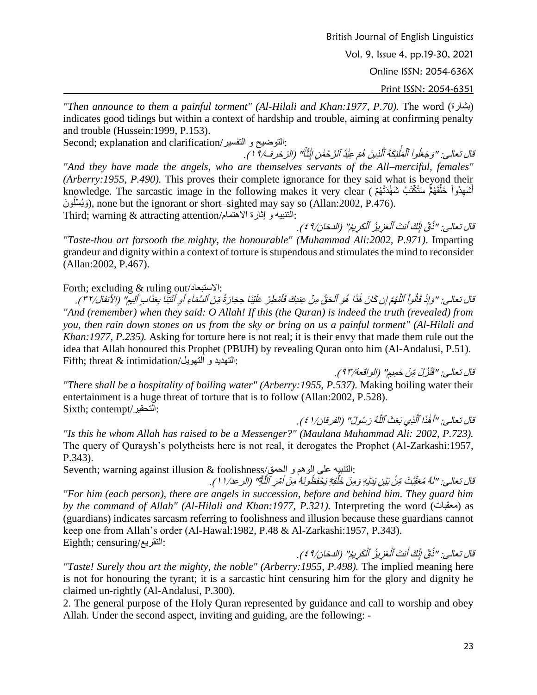British Journal of English Linguistics

Vol. 9, Issue 4, pp.19-30, 2021

Online ISSN: 2054-636X

Print ISSN: 2054-6351

*"Then announce to them a painful torment" (Al-Hilali and Khan:1977, P.70).* The word (بشارة ( indicates good tidings but within a context of hardship and trouble, aiming at confirming penalty and trouble (Hussein:1999, P.153).

Second; explanation and clarification/التفسير و التوضيح:

َّ قَالَ تَعَالَى: "وَجَعَلُواْ ٱلْمَلْئِكَةَ ٱلَّذِينَ هُمْ عِبَٰدُ ٱلزَّحْمَٰنِ إِنِّثَاًّ ِ<br>مَلَئِگَةُ *ٱ*لَّذ ۡ ٱل وَجَعَلُواْ ٱلْمَلَٰئِكَةَ ٱلَّذِينَ هُمْ عِبَٰذُ ٱلرَّحْمَٰنِ ابْثَثَاً" (الزخرف/ 1 ١). *"And they have made the angels, who are themselves servants of the All–merciful, females" (Arberry:1955, P.490).* This proves their complete ignorance for they said what is beyond their أَسْهِدُواْ خَلَقَهُمُّ سَتُكْتَبُ شَهْدَتُهُمۡ ) knowledge. The sarcastic image in the following makes it very clear ْ وَيُسَلُونَ), none but the ignorant or short–sighted may say so (Allan:2002, P.476). :التنبيه و إثارة اَلهتمام/attention attracting & warning; Third

َقَال تَعَالَى: "ذُقِّ إِنَّكَ أَنتَ ٱلْعَزِيزُ ٱلْكَرِيمُ' ذُقَ إِنَّكَ أَنتَ ٱلْعَزِيزُ ٱلْكَرِيمُ" (الدخان/٩ ٤ ). *"Taste-thou art forsooth the mighty, the honourable" (Muhammad Ali:2002, P.971)*. Imparting grandeur and dignity within a context of torture is stupendous and stimulates the mind to reconsider (Allan:2002, P.467).

#### Forth; excluding & ruling out/لستبعادَا:

َقَالَ تَعَالَى: "وَإِذْ قَالُواْ ٱللَّهُمَّ إِن كَانَ هَٰذَا هُوَ ٱلْحَقَّ مِنْ عِندِكَ فَأَمْطِرً لَّلُّهُمَّ *إِن كَانَ هَٰذَا هُوَ ٱلْحَقَّ مِنْ عِنْدِكَ فَأَ*  ٱلل َقالُواْ وَإِذْ قَالُواْ ٱللَّهُمَّ إِن كَانَ هَٰذَا هُوَ ٱلْحَقَّ مِنْ عِندِكَ فَأَمْطِرْ عَلَيْنَا حِجَارَةً مِّنَ ٱلسَّمَاءِ أَوِ ٱنْتِنَا بِعَذَابٍ أَلِيمٍ أُو ٱنۡتِنَا بِعَذَابِ أَا عَلَيْنَا حِجَارَةُ مِّنَ ٱلسَّمَاءِ أَوِ ٱنْتِنَا بِعَذَابٍ أَلِيمٍ'' (الأنفال/٣٢). *"And (remember) when they said: O Allah! If this (the Quran) is indeed the truth (revealed) from you, then rain down stones on us from the sky or bring on us a painful torment" (Al-Hilali and Khan:1977, P.235).* Asking for torture here is not real; it is their envy that made them rule out the idea that Allah honoured this Prophet (PBUH) by revealing Quran onto him (Al-Andalusi, P.51). Fifth; threat & intimidation/أنقهديد و التهويل:

قال تعالى: "فَنُزُلٌ مِّنْ حَمِيمٍ" (الواقعة/٩٢). *"There shall be a hospitality of boiling water" (Arberry:1955, P.537).* Making boiling water their entertainment is a huge threat of torture that is to follow (Allan:2002, P.528). Sixth; contempt/التحقير: َّ

قَالَ تعالى: "أَهُذَا ٱلَّذِي بَعَثَ ٱللَّهُ رَسُولً' اَلَّذِي بَعَثَ ٱللَّـٰ اً هٰٰذَا ٱلَّذ أَهْذَا ٱلَّذِي بَعَثَ ٱللَّهُ رَسُولً" (الفرقان/١ ٤). *"Is this he whom Allah has raised to be a Messenger?" (Maulana Muhammad Ali: 2002, P.723).* The query of Quraysh's polytheists here is not real, it derogates the Prophet (Al-Zarkashi:1957, P.343).

:التنبيه على الوهم و الحمق/Seventh: warning against illusion & foolishness َقَال تعالى: "لَهُ مُعَقِّبُتْ مِّنْ بَيْنِ يَدَيْهِ وَمِنْ خَلْفِةِ يَخَذَ الَهُ مُعَقِّبَتْ مِّنْ بَيْنِ بَدَيْهِ وَمِنْ خَلْفِهِّ يَخْفَظُونَهُ ٰ مِنْ أَمْرِ ٱللَّهَٰٓ أَمَّرِ ٱللَّ فَظُونَهُ مِنۡ أَمۡرِ ٱللَّٰهِ ۖ (الرعد/ ١ ). *"For him (each person), there are angels in succession, before and behind him. They guard him by the command of Allah" (Al-Hilali and Khan:1977, P.321)*. Interpreting the word (معقبات) as (guardians) indicates sarcasm referring to foolishness and illusion because these guardians cannot keep one from Allah's order (Al-Hawal:1982, P.48 & Al-Zarkashi:1957, P.343). Eighth; censuring/التقريع:

َ قَالَ تَعَالَى: "ذُقِّ إِنَّكَ أَنتَ ٱلْعَزِيزُ ٱلْكَرِيمُ' ذُقِّ إِنَّكَ أَنتَ ٱلْعَزِيزُ ٱلْكَرِيمُ" (الدخان/٤٩). ِّ *"Taste! Surely thou art the mighty, the noble" (Arberry:1955, P.498).* The implied meaning here is not for honouring the tyrant; it is a sarcastic hint censuring him for the glory and dignity he claimed un-rightly (Al-Andalusi, P.300).

2. The general purpose of the Holy Quran represented by guidance and call to worship and obey Allah. Under the second aspect, inviting and guiding, are the following: -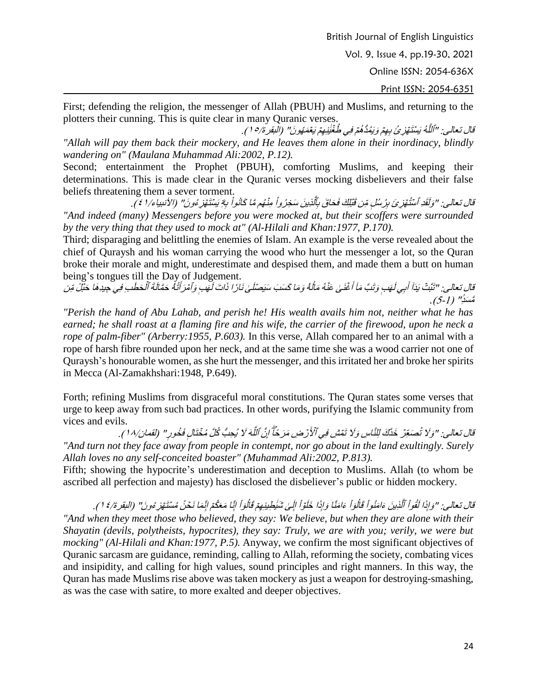Print ISSN: 2054-6351

First; defending the religion, the messenger of Allah (PBUH) and Muslims, and returning to the plotters their cunning. This is quite clear in many Quranic verses.

َّ قَالَ تَعَالَى: "اَلَلَّهُ بَيْنَتَّهَٰزِيُّ بِعِمْ وَيَبُدُّهُمْ فِي طُغْيَٰنِهِمْ يَعْمَهُونَ' 'ٱللَّهُ يَسَنَّقَوْرِئُ بِهِمْ وَيَمُدُّهُمْ فِي ضُغَّيَٰنِهِمْ يَعْمَعُونَ'' (النقرة/١٥). *"Allah will pay them back their mockery, and He leaves them alone in their inordinacy, blindly wandering on" (Maulana Muhammad Ali:2002, P.12).*

Second; entertainment the Prophet (PBUH), comforting Muslims, and keeping their determinations. This is made clear in the Quranic verses mocking disbelievers and their false beliefs threatening them a sever torment.

قال تعالى: "وَلَقَدِ ٱسْتُهَزِئَ بِرُسُلٍ مِّن قَبَلِكَ فَحَاقَ بِٱلَّذِينَ سَخِرُواْ مِنْهُم مَّا كَانُواْ بِهِٓ يَسْتَهَزِعُونَ' اً مِنْشُم مَّا كَانُواْ ِّأَلَّذِينَ سَخِرُ و<sup>أ</sup>َ وَلَقَدِ ٱستُنَهَّزِئَ بِرُسُلٍ مِّن قَبْلِكَ فَحَاقَ بِٱلَّذِينَ سَخِرُواْ مِنْهُم مَّا كَانُواْ بِهِٓ يَسْتَهَزِعُونَ" (الأنبياء/١ ٤ ). *"And indeed (many) Messengers before you were mocked at, but their scoffers were surrounded by the very thing that they used to mock at" (Al-Hilali and Khan:1977, P.170).* 

Third; disparaging and belittling the enemies of Islam. An example is the verse revealed about the chief of Quraysh and his woman carrying the wood who hurt the messenger a lot, so the Quran broke their morale and might, underestimate and despised them, and made them a butt on human being's tongues till the Day of Judgement.

قَالَ تعالى: "نَتَبْتُ بَذَاۤ أُبِي لَهَب وَنَبَّ مَاۤ أُغۡنَىٰ عَنْهُ مَالَهُ وَمَا كَسَبَ سَيَصۡلَىٰ نَارُ ا ُأَلْبِي لَـهَا وَتَلَبَّ مَاۤ أَغۡنَـىٰ عَنۡهُ مَالُّا تَبَّتْ يَدَاۤ أَبِي لَهَبِ وَتَبَّ مَاۤ أَغۡنَـٰىٰ عَنْهُ مَالُهُۚ وَمَا كَسَبَ سَيَصۡلَٰىٰ نَارٗا ذَاتَ لَهَبٖ وَٱمۡرَ أَنۡهُ حَمَّالَةَ ٱلۡحَظَبِ ذَاتَ لَـهَبِ وَٱمْرَأَتُهُ حَمَّالَةَ ٱلْحَطَبِ فِي جِيدِهَا حَبْلٌ مِّن مَّسَن<sup>َ</sup> " (1-5).

*"Perish the hand of Abu Lahab, and perish he! His wealth avails him not, neither what he has earned; he shall roast at a flaming fire and his wife, the carrier of the firewood, upon he neck a rope of palm-fiber" (Arberry:1955, P.603).* In this verse, Allah compared her to an animal with a rope of harsh fibre rounded upon her neck, and at the same time she was a wood carrier not one of Quraysh's honourable women, as she hurt the messenger, and this irritated her and broke her spirits in Mecca (Al-Zamakhshari:1948, P.649).

Forth; refining Muslims from disgraceful moral constitutions. The Quran states some verses that urge to keep away from such bad practices. In other words, purifying the Islamic community from vices and evils.

قال تعالى: "وَلَا تُصَعِّرْ خَذَّكَ لِلنَّاسِ وَلَا تَمَشِ فِي ٱلْأَرْضِ مَرَحَّآً إِنَّ ٱللَّهَ لَا يُحِبُّ كُلَّ مُخَتَالٍ فَخُورٍ ' َّوَلَا تُصَعِّرْ خَدَّكَ لِلنَّاسِ وَلَا تَمَشِ فِي ٱلْأَرْضِ مَرَ خَلَّ إِنَّ ٱللَّهَ لَا يُحِبُّ كُلَّ مُخَنَّالٍ فَخُورٍ " (لقمان/١٨). *"And turn not they face away from people in contempt, nor go about in the land exultingly. Surely Allah loves no any self-conceited boaster" (Muhammad Ali:2002, P.813).* 

Fifth; showing the hypocrite's underestimation and deception to Muslims. Allah (to whom be ascribed all perfection and majesty) has disclosed the disbeliever's public or hidden mockery.

قال تعالى: "وَإِذَا لَقُواْ ٱلَّذِينَ ءَامَنُواْ قَالُوٓاْ ءَامَنَّا وَإِذَا خَلَوۡاْ إِلَىٰ شَيُطِينِهِمۡ قَالُوٓاْ إِنَّا مَعَكُمۡ إِنَّه .<br>الو أ اْ إِلَىٰ شَي<u>ُطِينِهِ</u>مۡ قَالُاَ عَامَنَّا وَإِذَا خَلَوۡاْ .<br>الو أ *أَلَّذِينَ ءَامَنُو أ*قَالُ<sub>ة</sub> ٱل وَإِذَا لَقُواْ ٱلَّذِينَ ءَامَنُواْ قَالُوْاْ ءَامَنًا وَإِذَا خَلَوْاْ إِلَىٰ شَيُطِينِهِمْ قَالُوْاْ إِنَّا مَعَكُمْ إِنَّهَا نَحَنُ مُسْتَهَزِ ءُونَ" (النقرة/١٤). *"And when they meet those who believed, they say: We believe, but when they are alone with their Shayatin (devils, polytheists, hypocrites), they say: Truly, we are with you; verily, we were but mocking" (Al-Hilali and Khan:1977, P.5).* Anyway, we confirm the most significant objectives of Quranic sarcasm are guidance, reminding, calling to Allah, reforming the society, combating vices and insipidity, and calling for high values, sound principles and right manners. In this way, the Quran has made Muslims rise above was taken mockery as just a weapon for destroying-smashing, as was the case with satire, to more exalted and deeper objectives.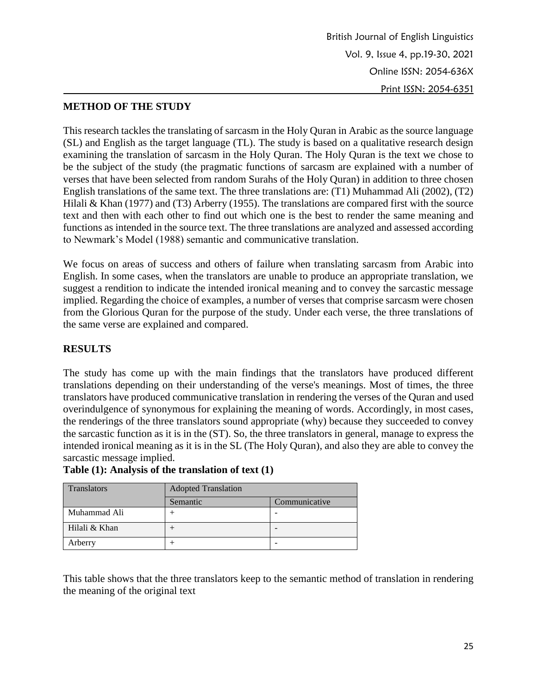# **METHOD OF THE STUDY**

This research tackles the translating of sarcasm in the Holy Quran in Arabic as the source language (SL) and English as the target language (TL). The study is based on a qualitative research design examining the translation of sarcasm in the Holy Quran. The Holy Quran is the text we chose to be the subject of the study (the pragmatic functions of sarcasm are explained with a number of verses that have been selected from random Surahs of the Holy Quran) in addition to three chosen English translations of the same text. The three translations are: (T1) Muhammad Ali (2002), (T2) Hilali & Khan (1977) and (T3) Arberry (1955). The translations are compared first with the source text and then with each other to find out which one is the best to render the same meaning and functions as intended in the source text. The three translations are analyzed and assessed according to Newmark's Model (1988) semantic and communicative translation.

We focus on areas of success and others of failure when translating sarcasm from Arabic into English. In some cases, when the translators are unable to produce an appropriate translation, we suggest a rendition to indicate the intended ironical meaning and to convey the sarcastic message implied. Regarding the choice of examples, a number of verses that comprise sarcasm were chosen from the Glorious Quran for the purpose of the study. Under each verse, the three translations of the same verse are explained and compared.

#### **RESULTS**

The study has come up with the main findings that the translators have produced different translations depending on their understanding of the verse's meanings. Most of times, the three translators have produced communicative translation in rendering the verses of the Quran and used overindulgence of synonymous for explaining the meaning of words. Accordingly, in most cases, the renderings of the three translators sound appropriate (why) because they succeeded to convey the sarcastic function as it is in the (ST). So, the three translators in general, manage to express the intended ironical meaning as it is in the SL (The Holy Quran), and also they are able to convey the sarcastic message implied.

| <b>Translators</b> | <b>Adopted Translation</b> |               |
|--------------------|----------------------------|---------------|
|                    | Semantic                   | Communicative |
| Muhammad Ali       |                            |               |
| Hilali & Khan      |                            |               |

|  |  | Table $(1)$ : Analysis of the translation of text $(1)$ |  |
|--|--|---------------------------------------------------------|--|
|--|--|---------------------------------------------------------|--|

Arberry  $| +$ 

This table shows that the three translators keep to the semantic method of translation in rendering the meaning of the original text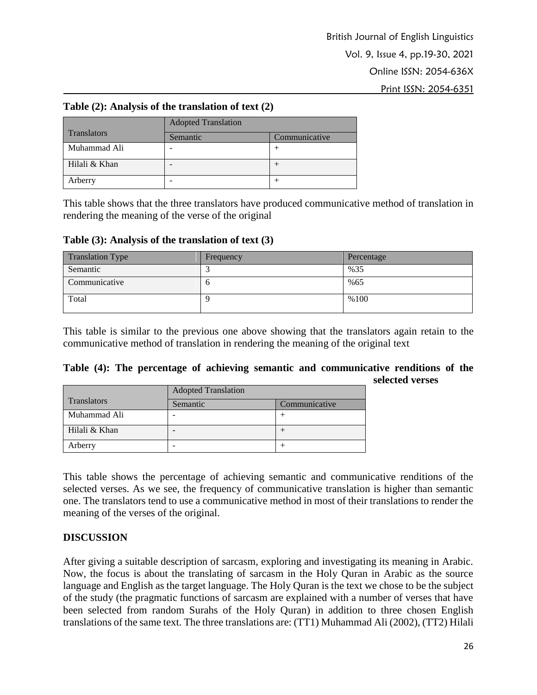# **Table (2): Analysis of the translation of text (2)**

|                    | <b>Adopted Translation</b> |               |  |
|--------------------|----------------------------|---------------|--|
| <b>Translators</b> | Semantic                   | Communicative |  |
| Muhammad Ali       |                            |               |  |
| Hilali & Khan      |                            |               |  |
| Arberry            |                            |               |  |

This table shows that the three translators have produced communicative method of translation in rendering the meaning of the verse of the original

**Table (3): Analysis of the translation of text (3)**

| Translation Type | Frequency | Percentage |
|------------------|-----------|------------|
| Semantic         |           | %35        |
| Communicative    | U         | %65        |
| Total            |           | %100       |

This table is similar to the previous one above showing that the translators again retain to the communicative method of translation in rendering the meaning of the original text

|  |  |  |  | Table (4): The percentage of achieving semantic and communicative renditions of the |                 |  |
|--|--|--|--|-------------------------------------------------------------------------------------|-----------------|--|
|  |  |  |  |                                                                                     | selected verses |  |

|                    | <b>Adopted Translation</b> |               |
|--------------------|----------------------------|---------------|
| <b>Translators</b> | Semantic                   | Communicative |
| Muhammad Ali       |                            |               |
| Hilali & Khan      | -                          |               |
| Arberry            |                            |               |

This table shows the percentage of achieving semantic and communicative renditions of the selected verses. As we see, the frequency of communicative translation is higher than semantic one. The translators tend to use a communicative method in most of their translations to render the meaning of the verses of the original.

# **DISCUSSION**

After giving a suitable description of sarcasm, exploring and investigating its meaning in Arabic. Now, the focus is about the translating of sarcasm in the Holy Quran in Arabic as the source language and English as the target language. The Holy Quran is the text we chose to be the subject of the study (the pragmatic functions of sarcasm are explained with a number of verses that have been selected from random Surahs of the Holy Quran) in addition to three chosen English translations of the same text. The three translations are: (TT1) Muhammad Ali (2002), (TT2) Hilali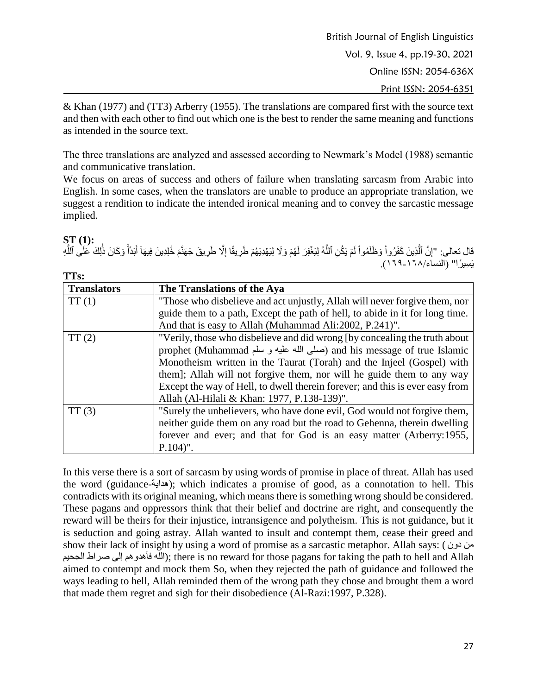& Khan (1977) and (TT3) Arberry (1955). The translations are compared first with the source text and then with each other to find out which one is the best to render the same meaning and functions as intended in the source text.

The three translations are analyzed and assessed according to Newmark's Model (1988) semantic and communicative translation.

We focus on areas of success and others of failure when translating sarcasm from Arabic into English. In some cases, when the translators are unable to produce an appropriate translation, we suggest a rendition to indicate the intended ironical meaning and to convey the sarcastic message implied.

**ST (1):** قال تعالى: "إِنَّ ٱلَّذِينَ كَفَرُواْ وَظَلَمُواْ لَمْ يَكُنِ ٱللَّهُ لِيَغْفِرَ لَهُمْ وَلَا لِيَهْدِيَهُمْ طَرِيقًا إِلَّا طَرِيقَ جَهَنَّمَ خُلِدِينَ فِيهَاۤ أَبَدُأَۚ وَكَانَ ذَٰلِكَ عَلَى ٱللَّهِ َّ ِّ َ َ ِّ َّ لَ ْ ֧֚֡֬<u>֓</u> َّ يَسِيرُ'ا" (النساء/٦٦٨-٢٦٩).

| TTs:               |                                                                              |
|--------------------|------------------------------------------------------------------------------|
| <b>Translators</b> | The Translations of the Aya                                                  |
| TT(1)              | "Those who disbelieve and act unjustly, Allah will never forgive them, nor   |
|                    | guide them to a path, Except the path of hell, to abide in it for long time. |
|                    | And that is easy to Allah (Muhammad Ali:2002, P.241)".                       |
| TT(2)              | "Verily, those who disbelieve and did wrong (by concealing the truth about   |
|                    | prophet (Muhammad صلى الله عليه و سلم) and his message of true Islamic       |
|                    | Monotheism written in the Taurat (Torah) and the Injeel (Gospel) with        |
|                    | them]; Allah will not forgive them, nor will he guide them to any way        |
|                    | Except the way of Hell, to dwell therein forever; and this is ever easy from |
|                    | Allah (Al-Hilali & Khan: 1977, P.138-139)".                                  |
| TT(3)              | "Surely the unbelievers, who have done evil, God would not forgive them,     |
|                    | neither guide them on any road but the road to Gehenna, therein dwelling     |
|                    | forever and ever; and that for God is an easy matter (Arberry: 1955,         |
|                    | $P.104$ ".                                                                   |

In this verse there is a sort of sarcasm by using words of promise in place of threat. Allah has used the word (guidance-هداية ;(which indicates a promise of good, as a connotation to hell. This contradicts with its original meaning, which means there is something wrong should be considered. These pagans and oppressors think that their belief and doctrine are right, and consequently the reward will be theirs for their injustice, intransigence and polytheism. This is not guidance, but it is seduction and going astray. Allah wanted to insult and contempt them, cease their greed and show their lack of insight by using a word of promise as a sarcastic metaphor. Allah says: ( دون من الجحيم صراط إلى فأهدوهم الله ;(there is no reward for those pagans for taking the path to hell and Allah aimed to contempt and mock them So, when they rejected the path of guidance and followed the ways leading to hell, Allah reminded them of the wrong path they chose and brought them a word that made them regret and sigh for their disobedience (Al-Razi:1997, P.328).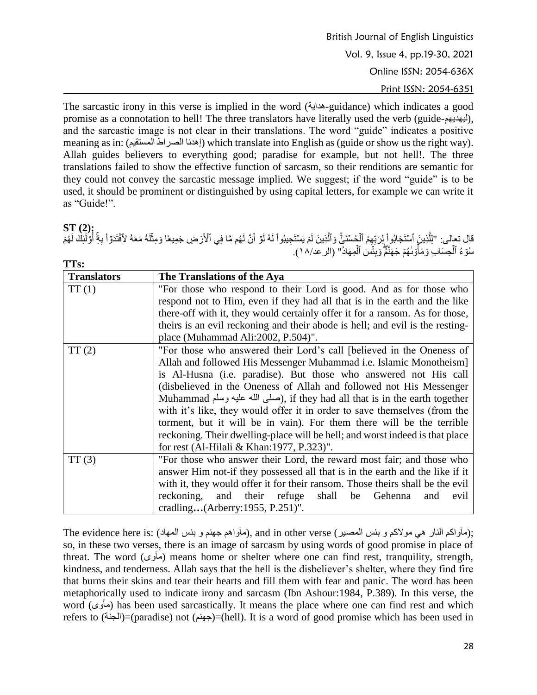The sarcastic irony in this verse is implied in the word (هداية-guidance) which indicates a good promise as a connotation to hell! The three translators have literally used the verb (guide- $\mu$  $)$ , and the sarcastic image is not clear in their translations. The word "guide" indicates a positive meaning as in: (المستقيم الصراط إهدنا (which translate into English as (guide or show us the right way). Allah guides believers to everything good; paradise for example, but not hell!. The three translations failed to show the effective function of sarcasm, so their renditions are semantic for they could not convey the sarcastic message implied. We suggest; if the word "guide" is to be used, it should be prominent or distinguished by using capital letters, for example we can write it as "Guide!".

# **ST (2):**

قال تعالى: "الْلَّذِينَ ٱسَتَجَابُو إِلزِبِّهِمُ ٱلْخِسْنَـٰيِّ وَٱلَّذِينَ لَمَ يَسْتَجِيبُواْ لَهُ لَوۡ أَنَّ لَهُم مَّا فِي ٱلْأَرۡضِ جَمِيعًا وَمِثَلَهُ مَعَهُ لأَفْتَدَوَاْ بِغَ أَوْلَٰئِكَ لَهُمْ َّ ِّل ْ َّ ٰٓ ْ أ سُوَّءُ ٱلْحِسَابَ وَمَأْوَلٰهُمۡ جَهَنَّمۡۖ وَبِئۡسَ ٱلۡمِهَادُ'' (الرعد\١٨).

| TTs:               |                                                                               |  |  |
|--------------------|-------------------------------------------------------------------------------|--|--|
| <b>Translators</b> | The Translations of the Aya                                                   |  |  |
| TT(1)              | "For those who respond to their Lord is good. And as for those who            |  |  |
|                    | respond not to Him, even if they had all that is in the earth and the like    |  |  |
|                    | there-off with it, they would certainly offer it for a ransom. As for those,  |  |  |
|                    | theirs is an evil reckoning and their abode is hell; and evil is the resting- |  |  |
|                    | place (Muhammad Ali:2002, P.504)".                                            |  |  |
| TT(2)              | "For those who answered their Lord's call [believed in the Oneness of         |  |  |
|                    | Allah and followed His Messenger Muhammad <i>i.e.</i> Islamic Monotheism]     |  |  |
|                    | is Al-Husna (i.e. paradise). But those who answered not His call              |  |  |
|                    | (disbelieved in the Oneness of Allah and followed not His Messenger           |  |  |
|                    | Muhammad صلى الله عليه وسلَّم), if they had all that is in the earth together |  |  |
|                    | with it's like, they would offer it in order to save themselves (from the     |  |  |
|                    | torment, but it will be in vain). For them there will be the terrible         |  |  |
|                    | reckoning. Their dwelling-place will be hell; and worst indeed is that place  |  |  |
|                    | for rest (Al-Hilali & Khan: 1977, P.323)".                                    |  |  |
| TT(3)              | "For those who answer their Lord, the reward most fair; and those who         |  |  |
|                    | answer Him not-if they possessed all that is in the earth and the like if it  |  |  |
|                    | with it, they would offer it for their ransom. Those theirs shall be the evil |  |  |
|                    | reckoning, and their refuge<br>shall<br>Gehenna<br>be<br>evil<br>and          |  |  |
|                    | cradling(Arberry:1955, P.251)".                                               |  |  |

The evidence here is: (مأواكم النار هي مولاكم و بئس المصير), and in other verse (مأواهم جهنم و بئس المهاد); so, in these two verses, there is an image of sarcasm by using words of good promise in place of threat. The word (مأوى (means home or shelter where one can find rest, tranquility, strength, kindness, and tenderness. Allah says that the hell is the disbeliever's shelter, where they find fire that burns their skins and tear their hearts and fill them with fear and panic. The word has been metaphorically used to indicate irony and sarcasm (Ibn Ashour:1984, P.389). In this verse, the word (مأوى (has been used sarcastically. It means the place where one can find rest and which refers to (الجنة)=(paradise) not (جهنم)=(hell). It is a word of good promise which has been used in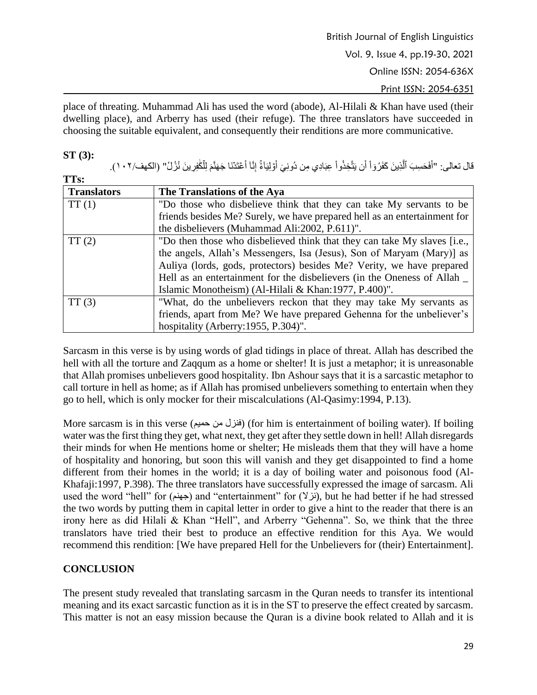place of threating. Muhammad Ali has used the word (abode), Al-Hilali & Khan have used (their dwelling place), and Arberry has used (their refuge). The three translators have succeeded in choosing the suitable equivalent, and consequently their renditions are more communicative.

#### **ST (3):**

**TTD:** 

قال تعالى: "أَفَحَسِبَ ٱلَّذِينَ كَفَرُوٓاْ أَن يَتَّخِذُواْ عِبَادِي مِن دُونِيّ أَوْلِيَآءًۚ إِنَّآ أَعْتَدَنَا جَهَنَّمَ لِلْكَٰفِرِينَ نُزُلُ" (الكهف/٢٠٢). َّ َ َ َ ْ

| 1 I S.             |                                                                           |
|--------------------|---------------------------------------------------------------------------|
| <b>Translators</b> | The Translations of the Aya                                               |
| TT(1)              | "Do those who disbelieve think that they can take My servants to be       |
|                    | friends besides Me? Surely, we have prepared hell as an entertainment for |
|                    | the disbelievers (Muhammad Ali:2002, P.611)".                             |
| TT(2)              | "Do then those who disbelieved think that they can take My slaves [i.e.,  |
|                    | the angels, Allah's Messengers, Isa (Jesus), Son of Maryam (Mary)] as     |
|                    | Auliya (lords, gods, protectors) besides Me? Verity, we have prepared     |
|                    | Hell as an entertainment for the disbelievers (in the Oneness of Allah _  |
|                    | Islamic Monotheism) (Al-Hilali & Khan: 1977, P.400)".                     |
| TT(3)              | "What, do the unbelievers reckon that they may take My servants as        |
|                    | friends, apart from Me? We have prepared Gehenna for the unbeliever's     |
|                    | hospitality (Arberry: 1955, P.304)".                                      |

Sarcasm in this verse is by using words of glad tidings in place of threat. Allah has described the hell with all the torture and Zaqqum as a home or shelter! It is just a metaphor; it is unreasonable that Allah promises unbelievers good hospitality. Ibn Ashour says that it is a sarcastic metaphor to call torture in hell as home; as if Allah has promised unbelievers something to entertain when they go to hell, which is only mocker for their miscalculations (Al-Qasimy:1994, P.13).

More sarcasm is in this verse (حميم من فنزل) (for him is entertainment of boiling water). If boiling water was the first thing they get, what next, they get after they settle down in hell! Allah disregards their minds for when He mentions home or shelter; He misleads them that they will have a home of hospitality and honoring, but soon this will vanish and they get disappointed to find a home different from their homes in the world; it is a day of boiling water and poisonous food (Al-Khafaji:1997, P.398). The three translators have successfully expressed the image of sarcasm. Ali used the word "hell" for (جهنم) and "entertainment" for ( $\forall$  بان), but he had better if he had stressed the two words by putting them in capital letter in order to give a hint to the reader that there is an irony here as did Hilali & Khan "Hell", and Arberry "Gehenna". So, we think that the three translators have tried their best to produce an effective rendition for this Aya. We would recommend this rendition: [We have prepared Hell for the Unbelievers for (their) Entertainment].

# **CONCLUSION**

The present study revealed that translating sarcasm in the Quran needs to transfer its intentional meaning and its exact sarcastic function as it is in the ST to preserve the effect created by sarcasm. This matter is not an easy mission because the Quran is a divine book related to Allah and it is